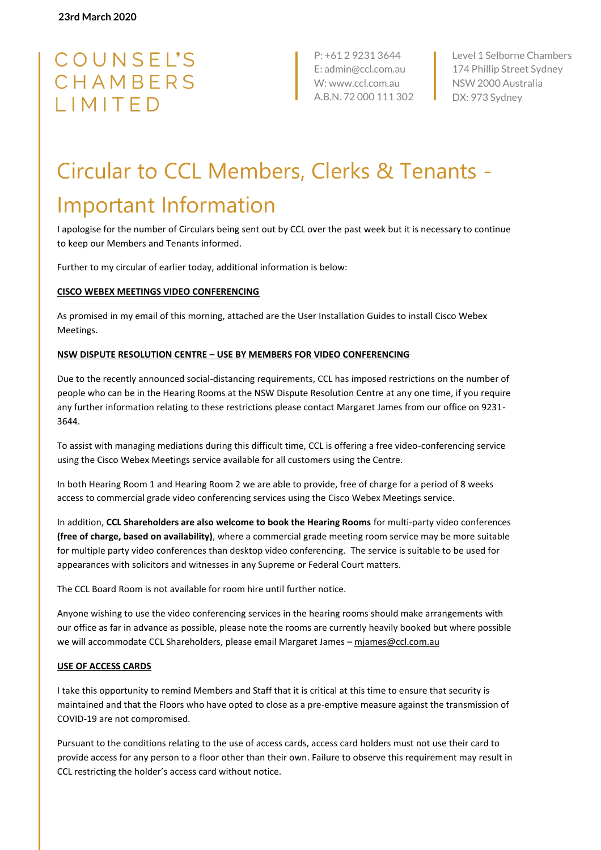# COUNSEL'S CHAMBERS LIMITED

P: +61 2 9231 3644 E: admin@ccl.com.au W: www.ccl.com.au A.B.N. 72 000 111 302

Level 1 Selborne Chambers 174 Phillip Street Sydney NSW 2000 Australia DX: 973 Sydney

# Circular to CCL Members, Clerks & Tenants - Important Information

I apologise for the number of Circulars being sent out by CCL over the past week but it is necessary to continue to keep our Members and Tenants informed.

Further to my circular of earlier today, additional information is below:

#### **CISCO WEBEX MEETINGS VIDEO CONFERENCING**

As promised in my email of this morning, attached are the User Installation Guides to install Cisco Webex Meetings.

#### **NSW DISPUTE RESOLUTION CENTRE – USE BY MEMBERS FOR VIDEO CONFERENCING**

Due to the recently announced social-distancing requirements, CCL has imposed restrictions on the number of people who can be in the Hearing Rooms at the NSW Dispute Resolution Centre at any one time, if you require any further information relating to these restrictions please contact Margaret James from our office on 9231- 3644.

To assist with managing mediations during this difficult time, CCL is offering a free video-conferencing service using the Cisco Webex Meetings service available for all customers using the Centre.

In both Hearing Room 1 and Hearing Room 2 we are able to provide, free of charge for a period of 8 weeks access to commercial grade video conferencing services using the Cisco Webex Meetings service.

In addition, **CCL Shareholders are also welcome to book the Hearing Rooms** for multi-party video conferences **(free of charge, based on availability)**, where a commercial grade meeting room service may be more suitable for multiple party video conferences than desktop video conferencing. The service is suitable to be used for appearances with solicitors and witnesses in any Supreme or Federal Court matters.

The CCL Board Room is not available for room hire until further notice.

Anyone wishing to use the video conferencing services in the hearing rooms should make arrangements with our office as far in advance as possible, please note the rooms are currently heavily booked but where possible we will accommodate CCL Shareholders, please email Margaret James - [mjames@ccl.com.au](mailto:mjames@ccl.com.au)

#### **USE OF ACCESS CARDS**

I take this opportunity to remind Members and Staff that it is critical at this time to ensure that security is maintained and that the Floors who have opted to close as a pre-emptive measure against the transmission of COVID-19 are not compromised.

Pursuant to the conditions relating to the use of access cards, access card holders must not use their card to provide access for any person to a floor other than their own. Failure to observe this requirement may result in CCL restricting the holder's access card without notice.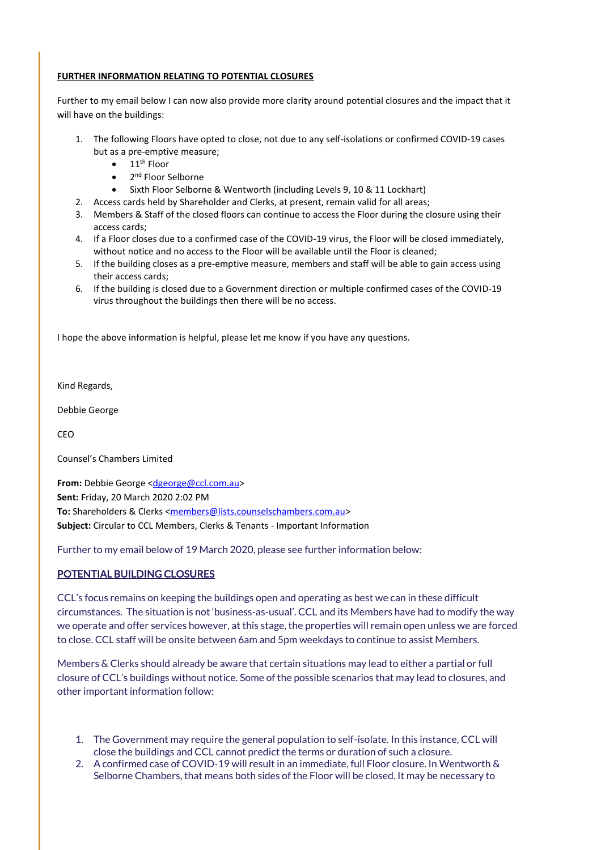#### **FURTHER INFORMATION RELATING TO POTENTIAL CLOSURES**

Further to my email below I can now also provide more clarity around potential closures and the impact that it will have on the buildings:

- 1. The following Floors have opted to close, not due to any self-isolations or confirmed COVID-19 cases but as a pre-emptive measure;
	- $11^{\text{th}}$  Floor
	- 2<sup>nd</sup> Floor Selborne
	- Sixth Floor Selborne & Wentworth (including Levels 9, 10 & 11 Lockhart)
- 2. Access cards held by Shareholder and Clerks, at present, remain valid for all areas;
- 3. Members & Staff of the closed floors can continue to access the Floor during the closure using their access cards;
- 4. If a Floor closes due to a confirmed case of the COVID-19 virus, the Floor will be closed immediately, without notice and no access to the Floor will be available until the Floor is cleaned;
- 5. If the building closes as a pre-emptive measure, members and staff will be able to gain access using their access cards;
- 6. If the building is closed due to a Government direction or multiple confirmed cases of the COVID-19 virus throughout the buildings then there will be no access.

I hope the above information is helpful, please let me know if you have any questions.

Kind Regards,

Debbie George

CEO

Counsel's Chambers Limited

**From:** Debbie George [<dgeorge@ccl.com.au>](mailto:dgeorge@ccl.com.au) **Sent:** Friday, 20 March 2020 2:02 PM To: Shareholders & Clerks [<members@lists.counselschambers.com.au>](mailto:members@lists.counselschambers.com.au) **Subject:** Circular to CCL Members, Clerks & Tenants - Important Information

Further to my email below of 19 March 2020, please see further information below:

#### POTENTIAL BUILDING CLOSURES

CCL's focus remains on keeping the buildings open and operating as best we can in these difficult circumstances. The situation is not 'business-as-usual'. CCL and its Members have had to modify the way we operate and offer services however, at this stage, the properties will remain open unless we are forced to close. CCL staff will be onsite between 6am and 5pm weekdays to continue to assist Members.

Members & Clerks should already be aware that certain situations may lead to either a partial or full closure of CCL's buildings without notice. Some of the possible scenarios that may lead to closures, and other important information follow:

- 1. The Government may require the general population to self-isolate. In this instance, CCL will close the buildings and CCL cannot predict the terms or duration of such a closure.
- 2. A confirmed case of COVID-19 will result in an immediate, full Floor closure. In Wentworth & Selborne Chambers, that means both sides of the Floor will be closed. It may be necessary to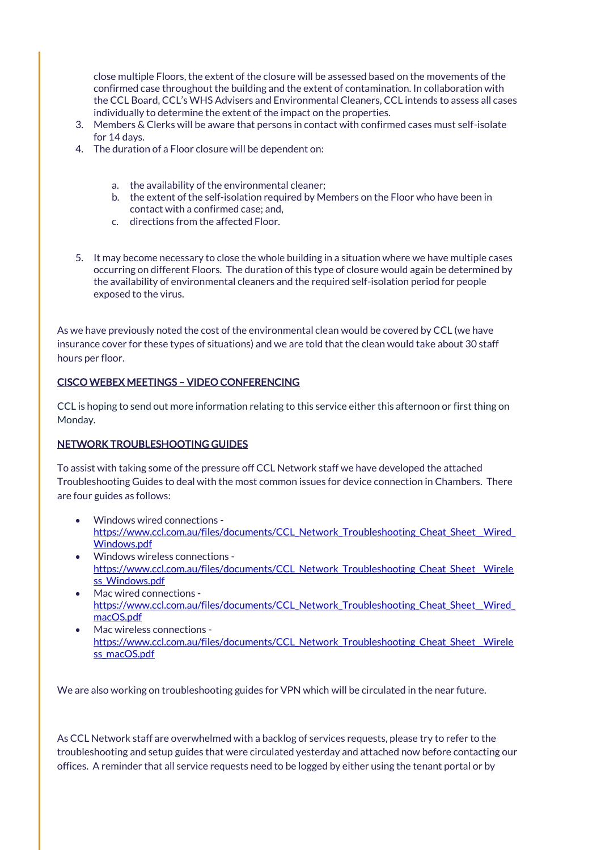close multiple Floors, the extent of the closure will be assessed based on the movements of the confirmed case throughout the building and the extent of contamination. In collaboration with the CCL Board, CCL's WHS Advisers and Environmental Cleaners, CCL intends to assess all cases individually to determine the extent of the impact on the properties.

- 3. Members & Clerks will be aware that persons in contact with confirmed cases must self-isolate for 14 days.
- 4. The duration of a Floor closure will be dependent on:
	- a. the availability of the environmental cleaner;
	- b. the extent of the self-isolation required by Members on the Floor who have been in contact with a confirmed case; and,
	- c. directions from the affected Floor.
- 5. It may become necessary to close the whole building in a situation where we have multiple cases occurring on different Floors. The duration of this type of closure would again be determined by the availability of environmental cleaners and the required self-isolation period for people exposed to the virus.

As we have previously noted the cost of the environmental clean would be covered by CCL (we have insurance cover for these types of situations) and we are told that the clean would take about 30 staff hours per floor.

### CISCO WEBEX MEETINGS – VIDEO CONFERENCING

CCL is hoping to send out more information relating to this service either this afternoon or first thing on Monday.

# NETWORK TROUBLESHOOTING GUIDES

To assist with taking some of the pressure off CCL Network staff we have developed the attached Troubleshooting Guides to deal with the most common issues for device connection in Chambers. There are four guides as follows:

- Windows wired connections https://www.ccl.com.au/files/documents/CCL\_Network\_Troubleshooting\_Cheat\_Sheet\_Wired\_ [Windows.pdf](https://www.ccl.com.au/files/documents/CCL_Network_Troubleshooting_Cheat_Sheet__Wired_Windows.pdf)
- Windows wireless connections https://www.ccl.com.au/files/documents/CCL\_Network\_Troubleshooting\_Cheat\_Sheet\_Wirele ss Windows.pdf
- Mac wired connections https://www.ccl.com.au/files/documents/CCL\_Network\_Troubleshooting\_Cheat\_Sheet\_Wired\_ [macOS.pdf](https://www.ccl.com.au/files/documents/CCL_Network_Troubleshooting_Cheat_Sheet__Wired_macOS.pdf)
- Mac wireless connections https://www.ccl.com.au/files/documents/CCL\_Network\_Troubleshooting\_Cheat\_Sheet\_Wirele [ss\\_macOS.pdf](https://www.ccl.com.au/files/documents/CCL_Network_Troubleshooting_Cheat_Sheet__Wireless_macOS.pdf)

We are also working on troubleshooting guides for VPN which will be circulated in the near future.

As CCL Network staff are overwhelmed with a backlog of services requests, please try to refer to the troubleshooting and setup guides that were circulated yesterday and attached now before contacting our offices. A reminder that all service requests need to be logged by either using the tenant portal or by